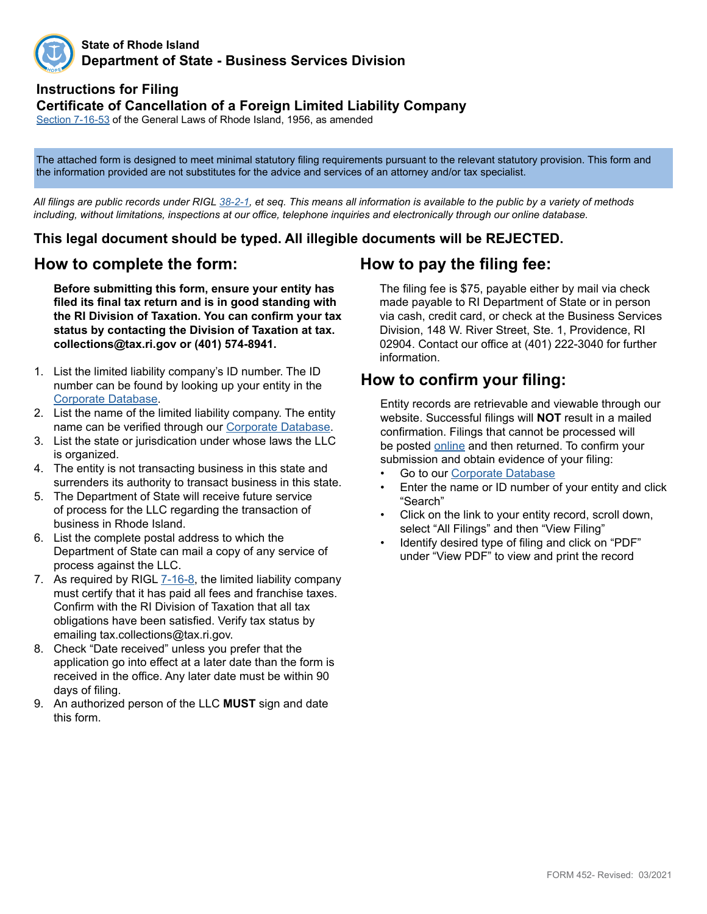

#### **State of Rhode Island Department of State - Business Services Division**

### **Instructions for Filing Certificate of Cancellation of a Foreign Limited Liability Company**

[Section](http://webserver.rilin.state.ri.us/Statutes/TITLE7/7-16/7-16-53.HTM) 7-16-53 of the General Laws of Rhode Island, 1956, as amended

The attached form is designed to meet minimal statutory filing requirements pursuant to the relevant statutory provision. This form and the information provided are not substitutes for the advice and services of an attorney and/or tax specialist.

*All filings are public records under RIGL [38-2-1](http://webserver.rilin.state.ri.us/Statutes/TITLE38/38-2/38-2-1.HTM), et seq. This means all information is available to the public by a variety of methods including, without limitations, inspections at our office, telephone inquiries and electronically through our online database.*

#### **This legal document should be typed. All illegible documents will be REJECTED.**

#### **How to complete the form:**

**Before submitting this form, ensure your entity has filed its final tax return and is in good standing with the RI Division of Taxation. You can confirm your tax status by contacting the Division of Taxation at tax. collections@tax.ri.gov or (401) 574-8941.**

- 1. List the limited liability company's ID number. The ID number can be found by looking up your entity in the [Corporate Database.](http://business.sos.ri.gov/corpweb/corpsearch/corpsearch.aspx)
- 2. List the name of the limited liability company. The entity name can be verified through our [Corporate Database](http://business.sos.ri.gov/corpweb/corpsearch/corpsearch.aspx).
- 3. List the state or jurisdication under whose laws the LLC is organized.
- 4. The entity is not transacting business in this state and surrenders its authority to transact business in this state.
- 5. The Department of State will receive future service of process for the LLC regarding the transaction of business in Rhode Island.
- 6. List the complete postal address to which the Department of State can mail a copy of any service of process against the LLC.
- 7. As required by [RIGL 7-](http://webserver.rilin.state.ri.us/Statutes/TITLE7/7-16/7-16-8.HTM)16-8, the limited liability company must certify that it has paid all fees and franchise taxes. Confirm with the RI Division of Taxation that all tax obligations have been satisfied. Verify tax status by emailing tax.collections@tax.ri.gov.
- 8. Check "Date received" unless you prefer that the application go into effect at a later date than the form is received in the office. Any later date must be within 90 days of filing.
- 9. An authorized person of the LLC **MUST** sign and date this form.

### **How to pay the filing fee:**

The filing fee is \$75, payable either by mail via check made payable to RI Department of State or in person via cash, credit card, or check at the Business Services Division, 148 W. River Street, Ste. 1, Providence, RI 02904. Contact our office at (401) 222-3040 for further information.

### **How to confirm your filing:**

Entity records are retrievable and viewable through our website. Successful filings will **NOT** result in a mailed confirmation. Filings that cannot be processed will be posted [online](http://business.sos.ri.gov/corpreject/corprejectionslist.asp) and then returned. To confirm your submission and obtain evidence of your filing:

- Go to our [Corporate Database](http://business.sos.ri.gov/corpweb/corpsearch/corpsearch.aspx)
- Enter the name or ID number of your entity and click "Search"
- Click on the link to your entity record, scroll down, select "All Filings" and then "View Filing"
- Identify desired type of filing and click on "PDF" under "View PDF" to view and print the record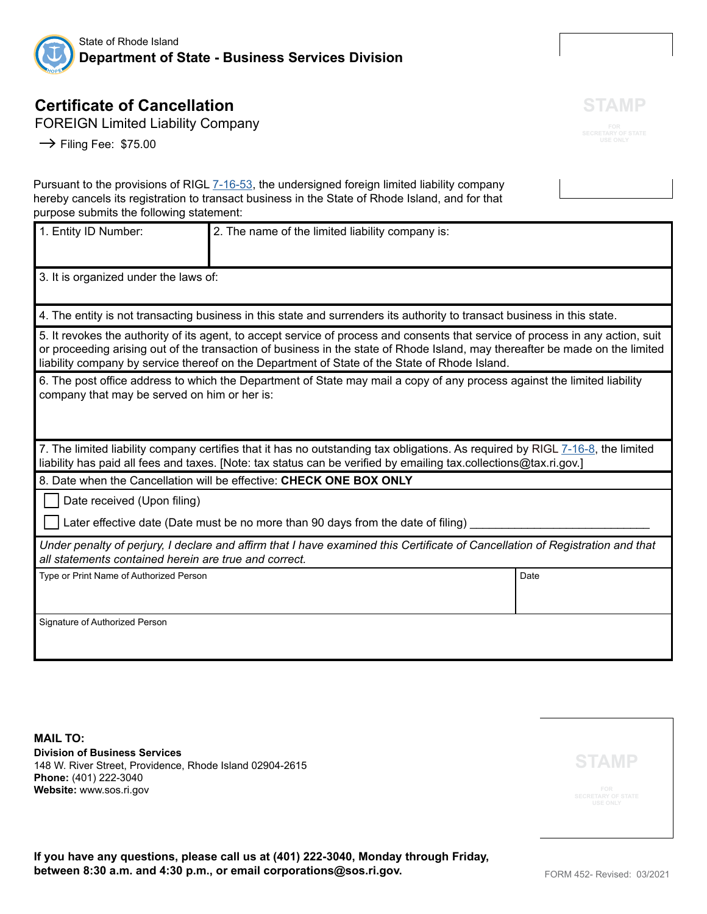

# **Certificate of Cancellation**

FOREIGN Limited Liability Company

 $\rightarrow$  Filing Fee: \$75.00

Pursuant to the provisions of RIGL  $7-16-53$ , the undersigned foreign limited liability company hereby cancels its registration to transact business in the State of Rhode Island, and for that purpose submits the following statement:

| 1. Entity ID Number:                                                                                                                                                                                                                                                                                                                                             | 2. The name of the limited liability company is: |      |  |
|------------------------------------------------------------------------------------------------------------------------------------------------------------------------------------------------------------------------------------------------------------------------------------------------------------------------------------------------------------------|--------------------------------------------------|------|--|
| 3. It is organized under the laws of:                                                                                                                                                                                                                                                                                                                            |                                                  |      |  |
| 4. The entity is not transacting business in this state and surrenders its authority to transact business in this state.                                                                                                                                                                                                                                         |                                                  |      |  |
| 5. It revokes the authority of its agent, to accept service of process and consents that service of process in any action, suit<br>or proceeding arising out of the transaction of business in the state of Rhode Island, may thereafter be made on the limited<br>liability company by service thereof on the Department of State of the State of Rhode Island. |                                                  |      |  |
| 6. The post office address to which the Department of State may mail a copy of any process against the limited liability<br>company that may be served on him or her is:                                                                                                                                                                                         |                                                  |      |  |
| 7. The limited liability company certifies that it has no outstanding tax obligations. As required by RIGL 7-16-8, the limited<br>liability has paid all fees and taxes. [Note: tax status can be verified by emailing tax.collections@tax.ri.gov.]                                                                                                              |                                                  |      |  |
| 8. Date when the Cancellation will be effective: CHECK ONE BOX ONLY                                                                                                                                                                                                                                                                                              |                                                  |      |  |
| Date received (Upon filing)                                                                                                                                                                                                                                                                                                                                      |                                                  |      |  |
| Later effective date (Date must be no more than 90 days from the date of filing)                                                                                                                                                                                                                                                                                 |                                                  |      |  |
| Under penalty of perjury, I declare and affirm that I have examined this Certificate of Cancellation of Registration and that<br>all statements contained herein are true and correct.                                                                                                                                                                           |                                                  |      |  |
| Type or Print Name of Authorized Person                                                                                                                                                                                                                                                                                                                          |                                                  | Date |  |
| Signature of Authorized Person                                                                                                                                                                                                                                                                                                                                   |                                                  |      |  |

**MAIL TO: Division of Business Services** 148 W. River Street, Providence, Rhode Island 02904-2615 **Phone:** (401) 222-3040 **Website:** www.sos.ri.gov